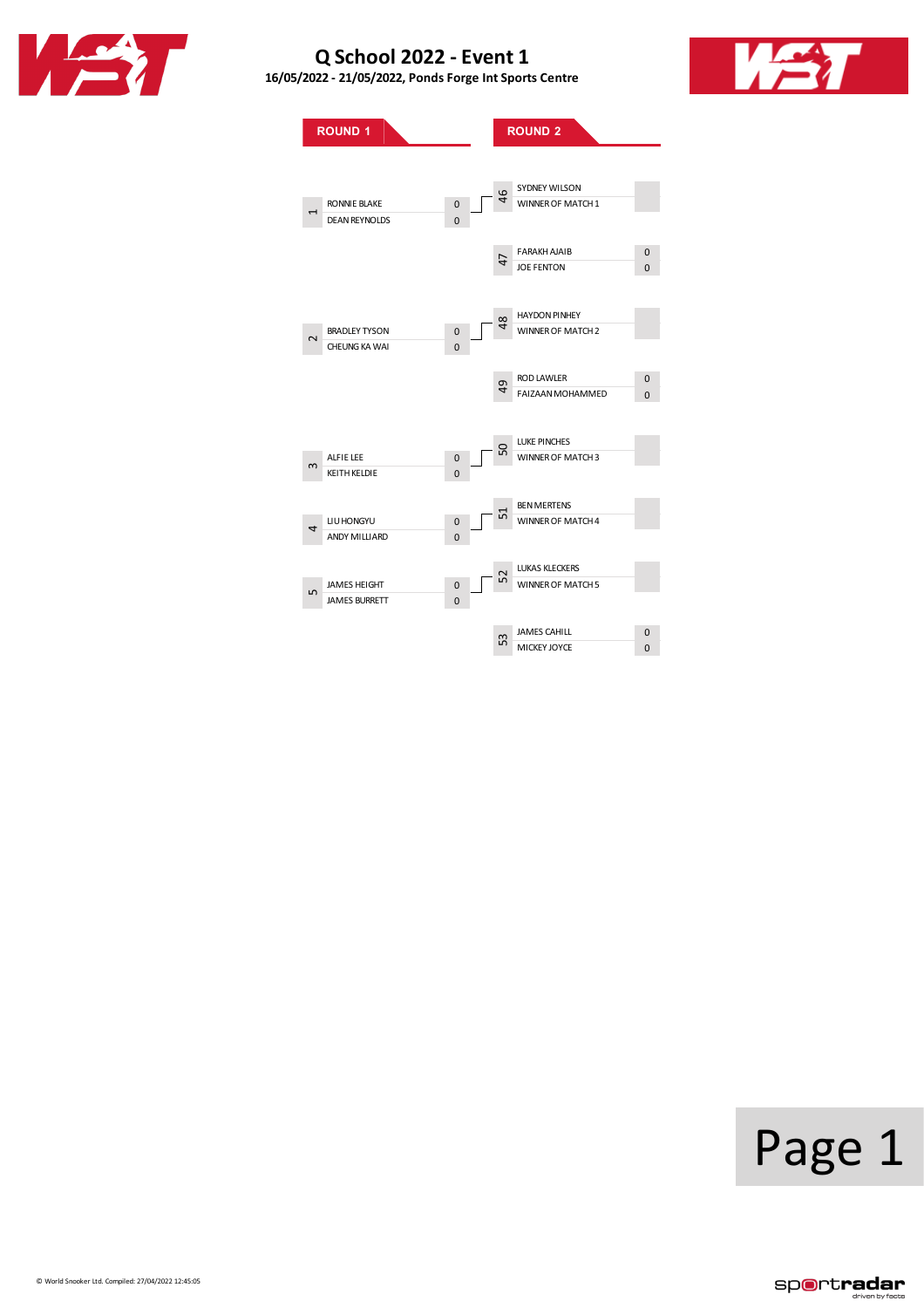





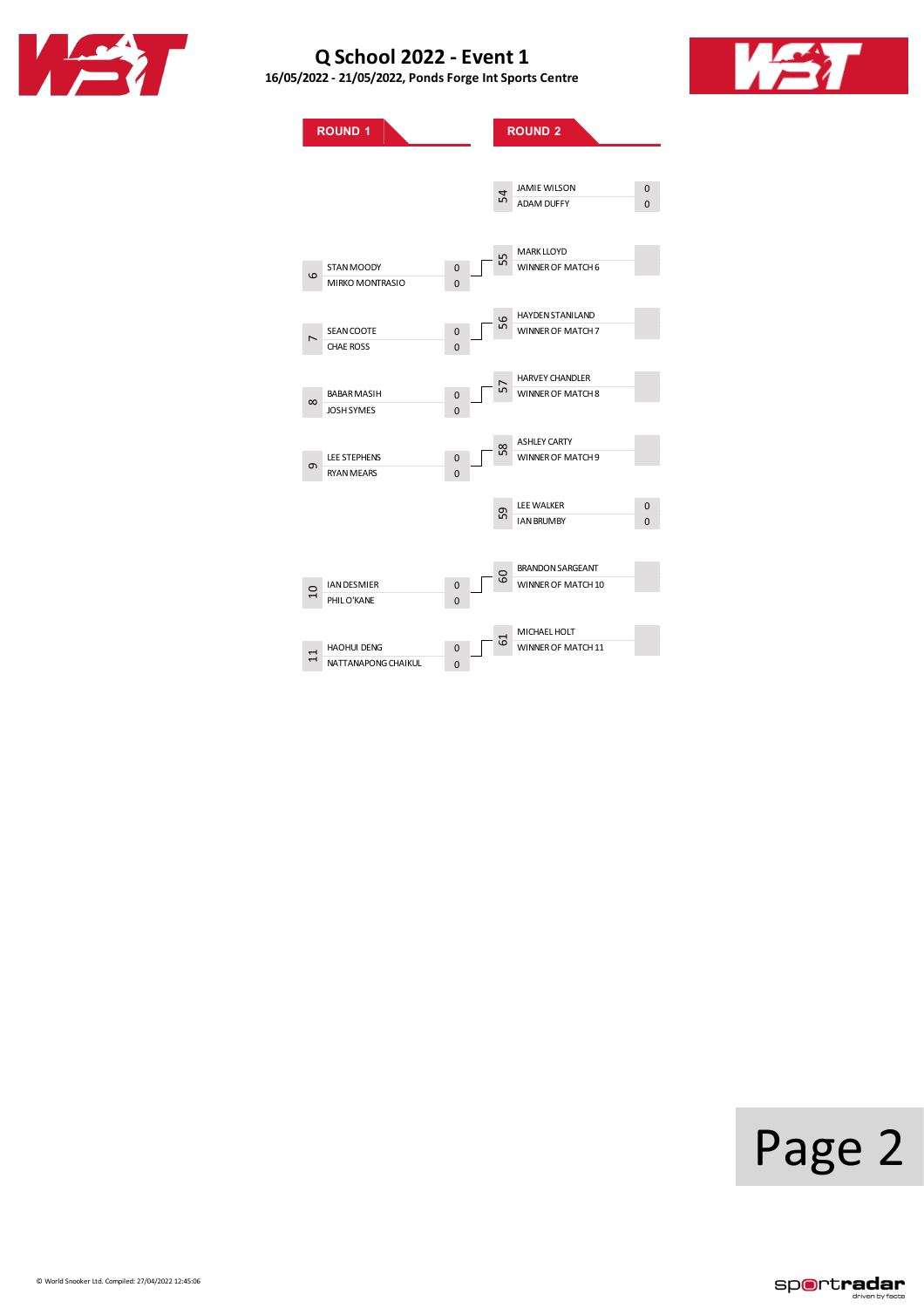





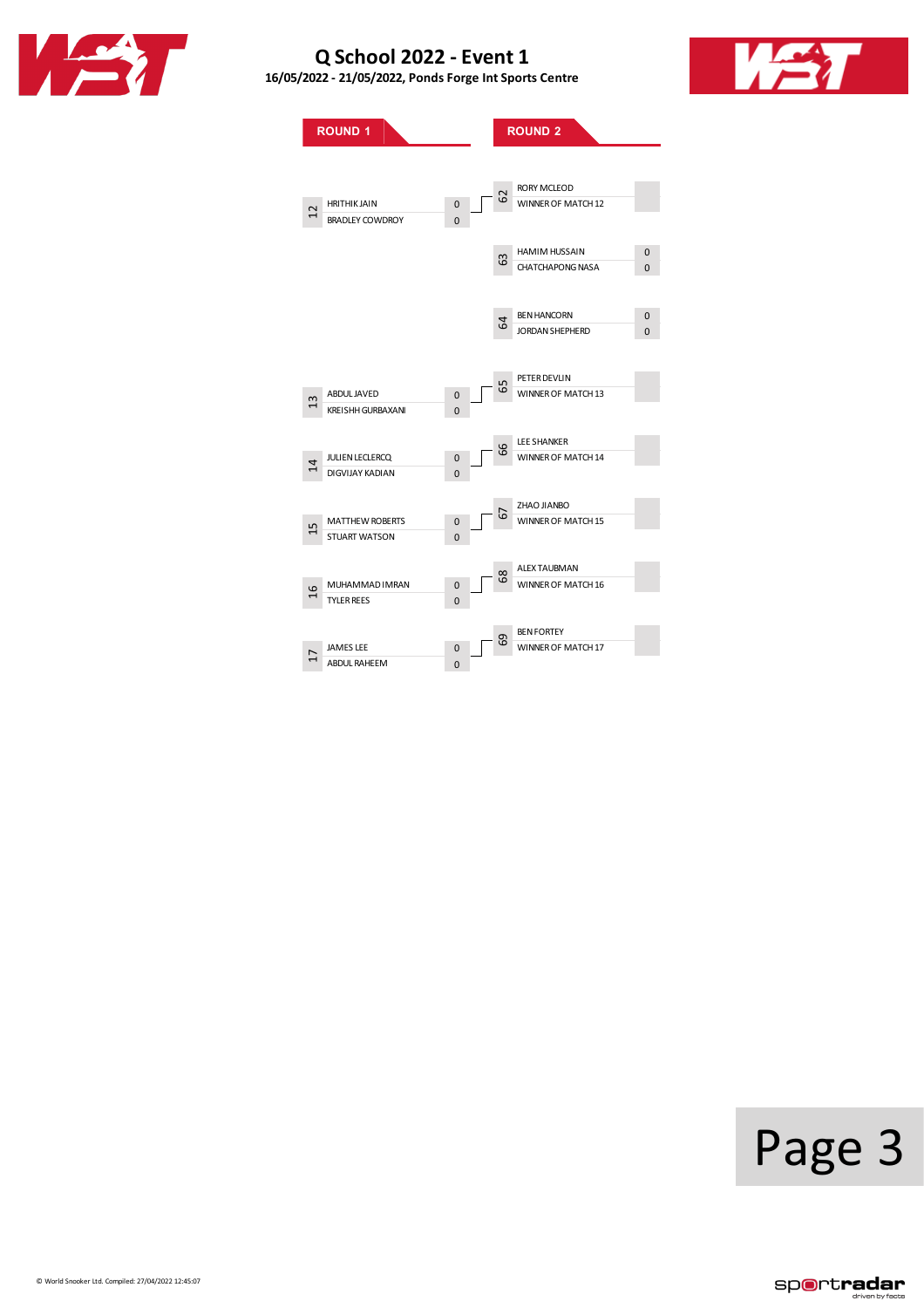

**16/05/2022 - 21/05/2022, PondsForge IntSports Centre**



**ROUND 1 ROUND 2** HRITHIK JAIN 0 BRADLEY COWDROY ABDULJAVED 0 KREISHH GURBAXANI 0 JULIENLECLERCQ 0 DIGVIJAY KADIAN 0 MATTHEW ROBERTS 0<br>STUART WATSON 0 STUART WATSON MUHAMMAD IMRAN 0 0<br>TYLER REES 0 TYLER REES JAMES LEE 0<br>ABDUL RAHEEM 0 ABDUL RAHEEM 0 RORY MCLEOD WINNER OF MATCH 12 HAMIM HUSSAIN 0<br>CHATCHAPONG NASA 0 CHATCHAPONG NASA BEN HANCORN 0 JORDAN SHEPHERD 0 PETER DEVLIN WINNER OF MATCH 13 LEESHANKER WINNER OF MATCH 14 ZHAO JIANBO WINNER OF MATCH 15 ALEX TAUBMAN WINNER OF MATCH 16 **BEN FORTEY** WINNER OF MATCH 17 12 13 14 15 16 17 62 63  $\mathfrak{p}$ 65 66 68 69

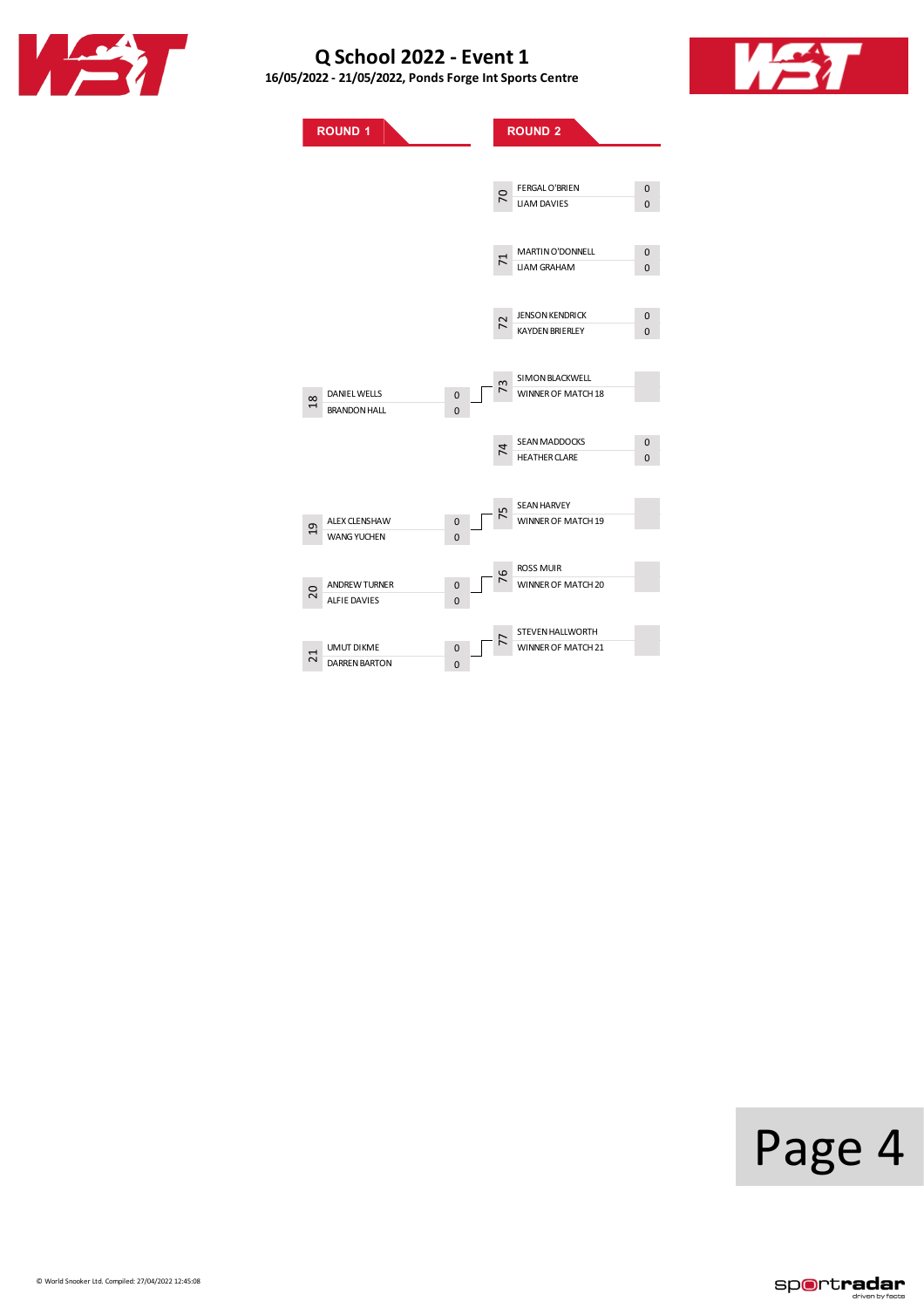





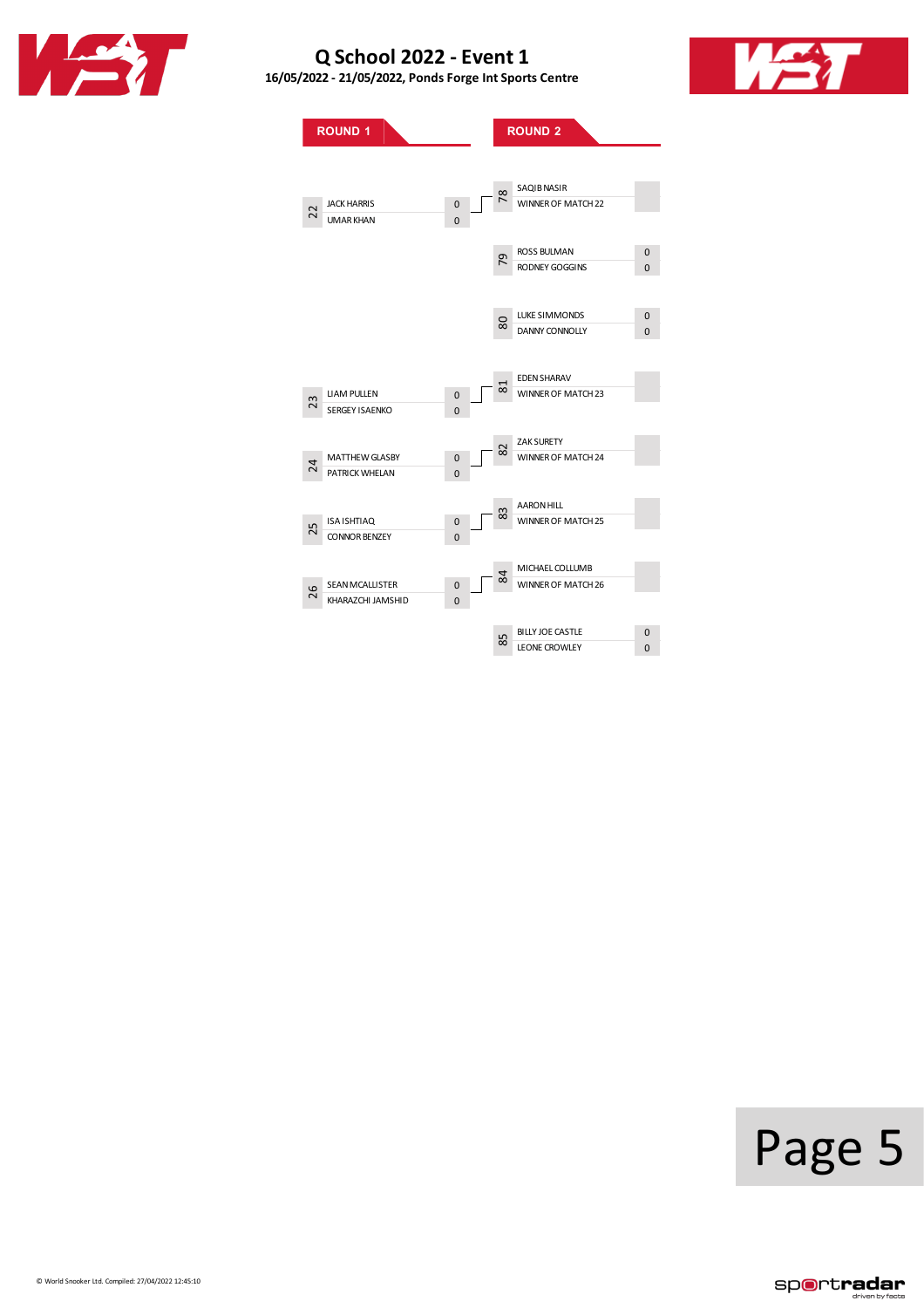

**16/05/2022 - 21/05/2022, PondsForge IntSports Centre**



**ROUND**<sub>1</sub> **ROUND**<sub>2</sub> JACK HARRIS 0<br>UMAR KHAN 0 UMAR KHAN LIAM PULLEN 0 SERGEY ISAENKO 0 MATTHEWGLASBY 0 PATRICK WHELAN ISA ISHTIAQ 0 CONNOR BENZEY SEAN MCALLISTER O 0<br>KHARAZCHI JAMSHID 0 KHARAZCHI JAMSHID SAQIBNASIR WINNER OF MATCH 22 ROSS BULMAN 0<br>RODNEY GOGGINS 0 RODNEY GOGGINS LUKE SIMMONDS 0 DANNY CONNOLLY 0 EDENSHARAV WINNER OF MATCH 23 ZAK SURETY WINNER OF MATCH 24 AARONHILL **83** WINNER OF MATCH 25 MICHAEL COLLUMB WINNER OF MATCH 26 BILLY JOE CASTLE 0<br>LEONE CROWLEY 0 LEONE CROWLEY 22 23 24 25 26 78 79 80 81 82 84 85

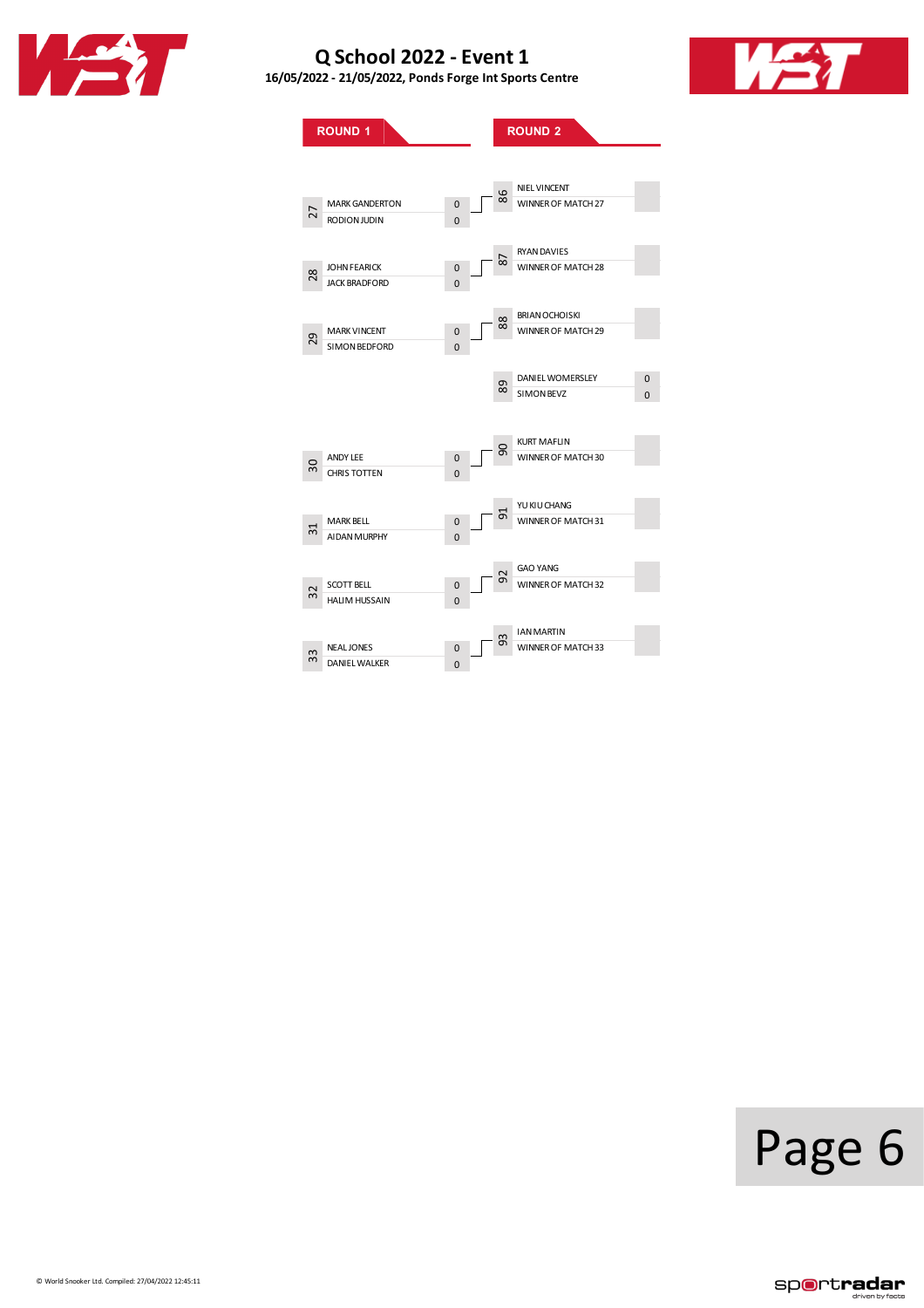

**16/05/2022 - 21/05/2022, PondsForge IntSports Centre**



**ROUND**<sub>1</sub> **ROUND**<sub>2</sub> MARKGANDERTON 0 RODION JUDIN JOHN FEARICK 0<br>JACK BRADFORD 0 JACK BRADFORD MARK VINCENT 0<br>SIMON BEDFORD 0 SIMON BEDFORD ANDY LEE 0<br>CHRIS TOTTEN 0 CHRISTOTTEN MARK BELL 0<br>AIDAN MURPHY 0 AIDAN MURPHY SCOTT BELL 0<br>
HALIM HUSSAIN 0 HALIM HUSSAIN NEALJONES 0<br>DANIEL WALKER 0 DANIEL WALKER NIEL VINCENT WINNER OF MATCH 27 RYANDAVIES WINNER OF MATCH 28 BRIANOCHOISKI WINNER OF MATCH 29 DANIEL WOMERSLEY 0<br>SIMON BEVZ 0 SIMONBEVZ 0 KURT MAFLIN WINNER OF MATCH 30 YUKIUCHANG MINNER OF MATCH 31 GAO YANG WINNER OF MATCH 32 IANMARTIN WINNER OF MATCH 33 27 28 29 30 31 32 33 86 87 88 90 92 93

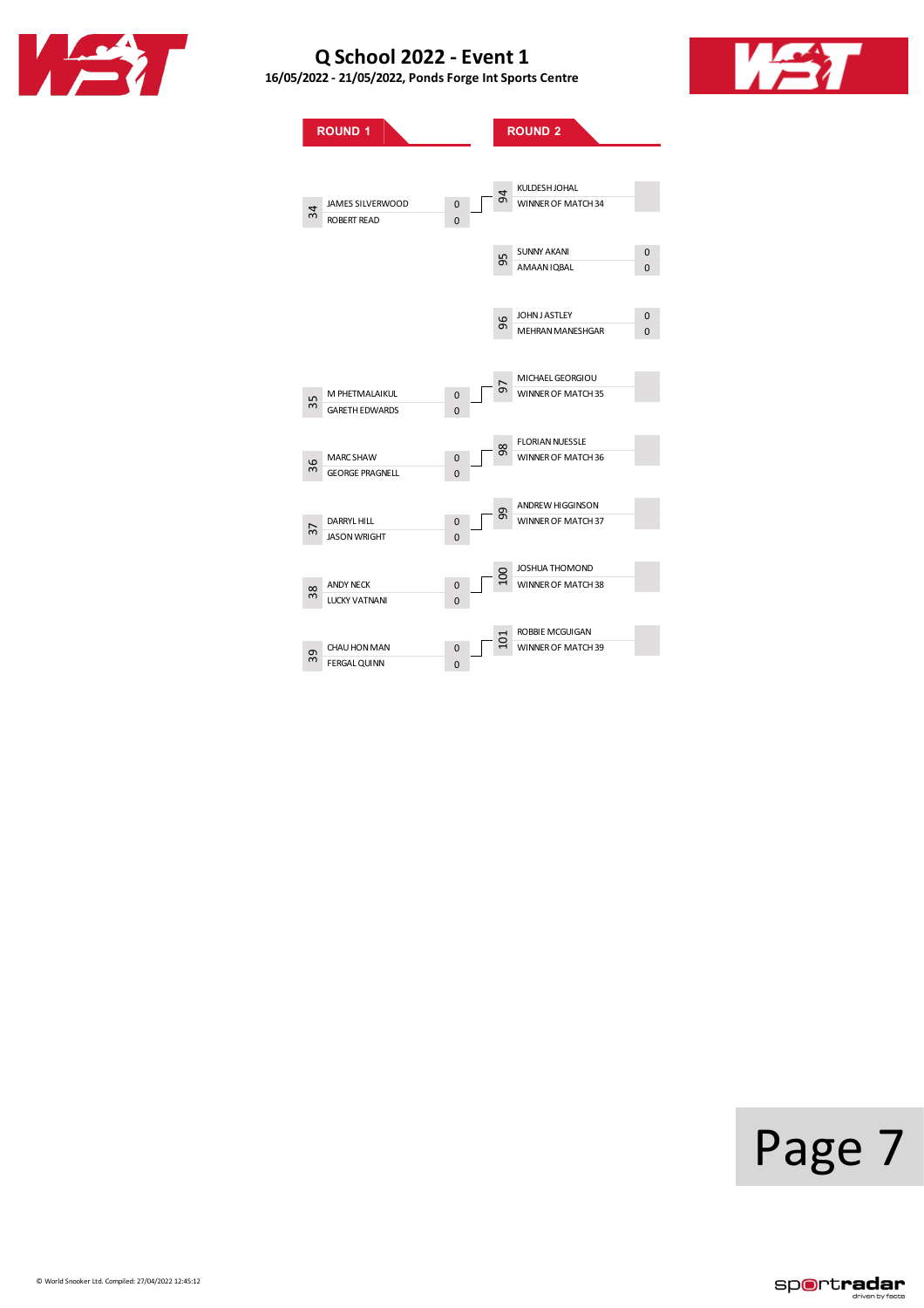

**16/05/2022 - 21/05/2022, PondsForge IntSports Centre**



**ROUND**<sub>1</sub> **ROUND**<sub>2</sub> JAMESSILVERWOOD 0 ROBERT READ M PHETMALAIKUL 0 GARETH EDWARDS 0 MARCSHAW 0<br>GEORGE PRAGNELL 0 ..<br>GEORGE PRAGNELL DARRYL HILL **DARRYL HILL** M<br>
JASON WRIGHT
0 ANDY NECK 0<br>
LUCKY VATNANI 0 LUCKY VATNANI CHAU HON MAN<br>
FERGAL QUINN
0 FERGAL QUINN KULDESHJOHAL WINNER OF MATCH 34 SUNNY AKANI 0 AMAAN IQBAL JOHNJ ASTLEY 0 MEHRAN MANESHGAR 0 MICHAELGEORGIOU WINNER OF MATCH 35 **FLORIAN NUESSLE** WINNER OF MATCH 36 ANDREW HIGGINSON **B**<br>WINNER OF MATCH 37 JOSHUA THOMOND WINNER OF MATCH 38 ROBBIEMCGUIGAN WINNER OF MATCH 39 34 35 36 38 39 94 95 96 97 98 100 101

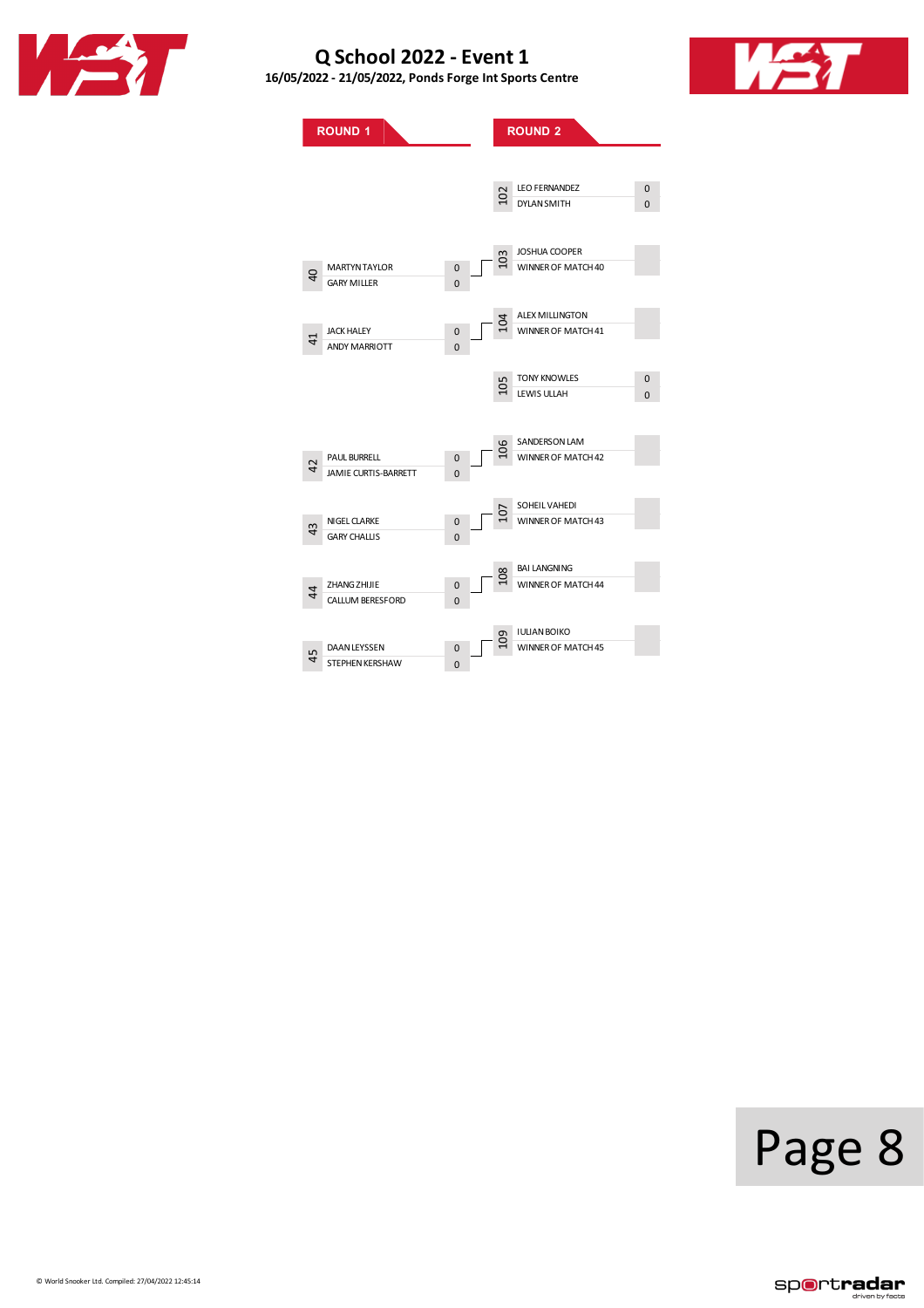





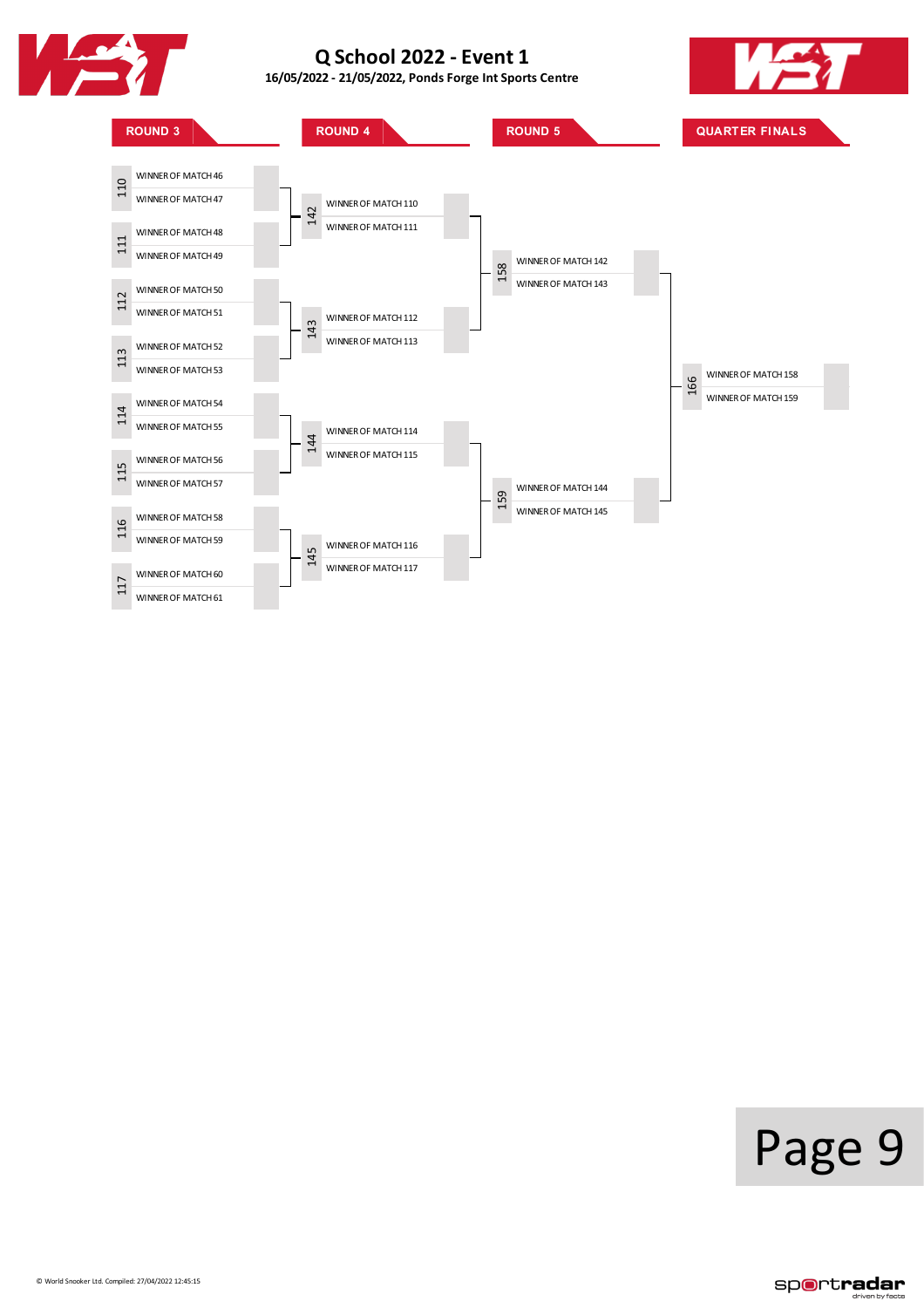





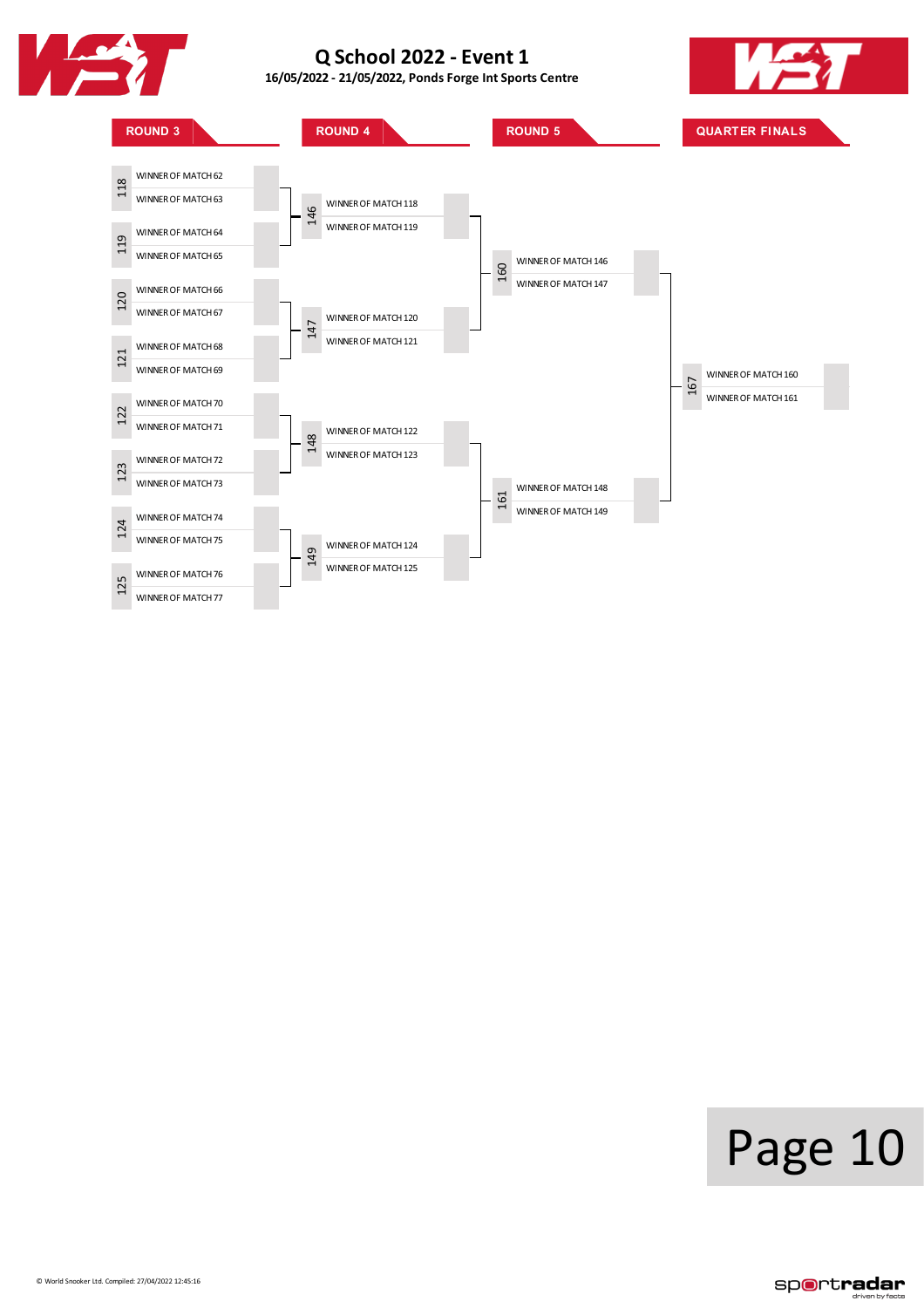

**16/05/2022 - 21/05/2022, PondsForge IntSports Centre**





# Page 10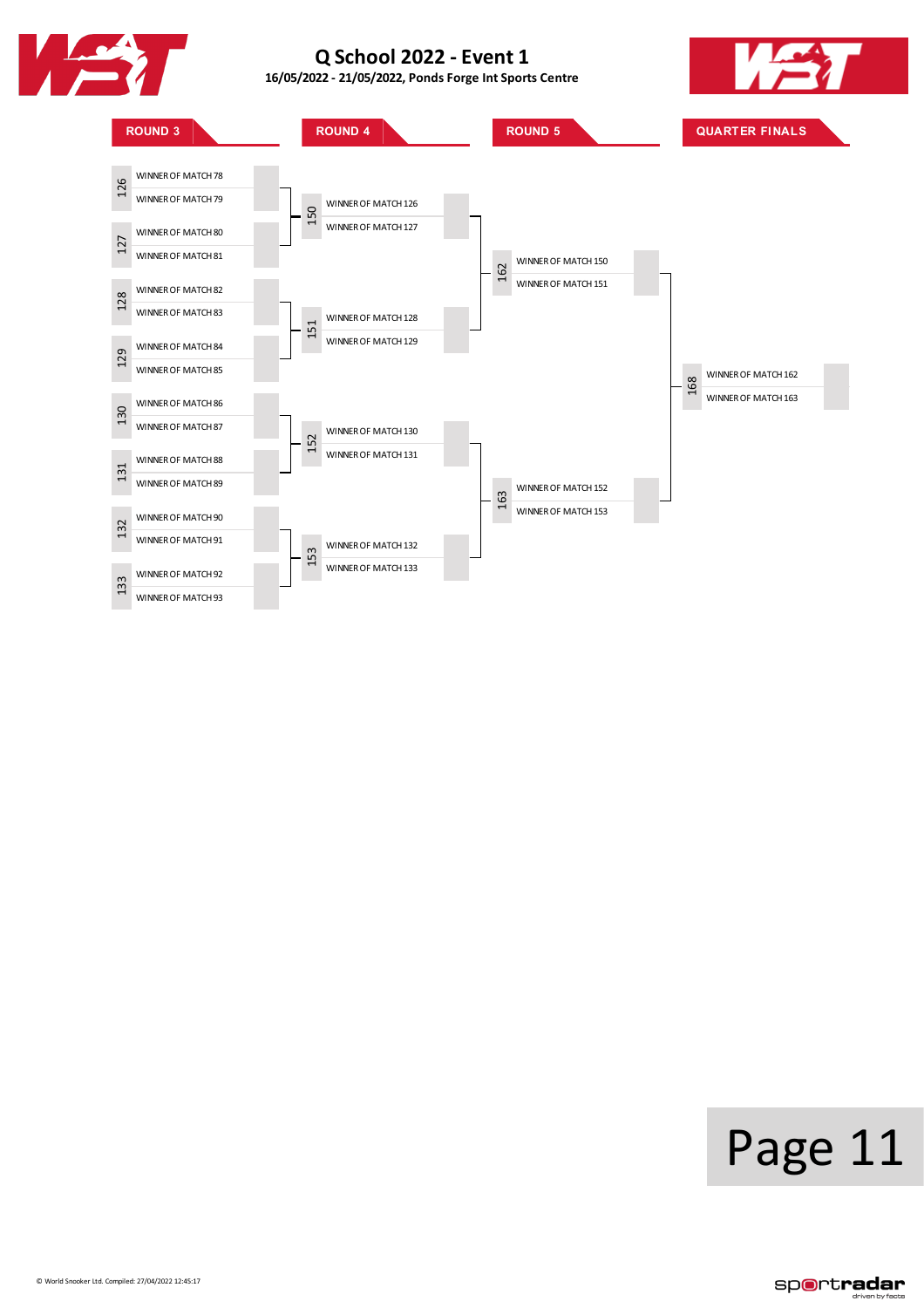

**16/05/2022 - 21/05/2022, PondsForge IntSports Centre**





# Page 11